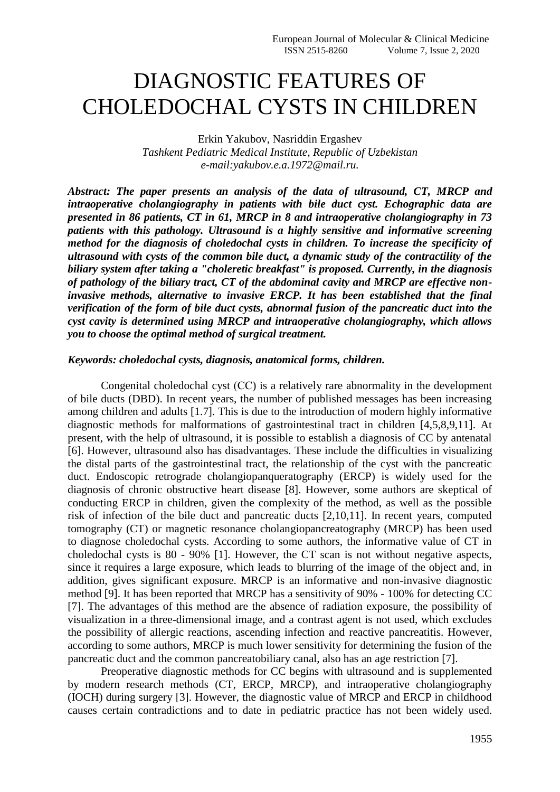## DIAGNOSTIC FEATURES OF CHOLEDOCHAL CYSTS IN CHILDREN

Erkin Yakubov, Nasriddin Ergashev *Tashkent Pediatric Medical Institute, Republic of Uzbekistan e-mail:yakubov.e.a.1972@mail.ru.*

*Abstract: The paper presents an analysis of the data of ultrasound, CT, MRCP and intraoperative cholangiography in patients with bile duct cyst. Echographic data are presented in 86 patients, CT in 61, MRCP in 8 and intraoperative cholangiography in 73 patients with this pathology. Ultrasound is a highly sensitive and informative screening method for the diagnosis of choledochal cysts in children. To increase the specificity of ultrasound with cysts of the common bile duct, a dynamic study of the contractility of the biliary system after taking a "choleretic breakfast" is proposed. Currently, in the diagnosis of pathology of the biliary tract, CT of the abdominal cavity and MRCP are effective noninvasive methods, alternative to invasive ERCP. It has been established that the final verification of the form of bile duct cysts, abnormal fusion of the pancreatic duct into the cyst cavity is determined using MRCP and intraoperative cholangiography, which allows you to choose the optimal method of surgical treatment.*

## *Keywords: choledochal cysts, diagnosis, anatomical forms, children.*

Congenital choledochal cyst (CС) is a relatively rare abnormality in the development of bile ducts (DBD). In recent years, the number of published messages has been increasing among children and adults [1.7]. This is due to the introduction of modern highly informative diagnostic methods for malformations of gastrointestinal tract in children [4,5,8,9,11]. At present, with the help of ultrasound, it is possible to establish a diagnosis of CC by antenatal [6]. However, ultrasound also has disadvantages. These include the difficulties in visualizing the distal parts of the gastrointestinal tract, the relationship of the cyst with the pancreatic duct. Endoscopic retrograde cholangiopanqueratography (ERCP) is widely used for the diagnosis of chronic obstructive heart disease [8]. However, some authors are skeptical of conducting ERCP in children, given the complexity of the method, as well as the possible risk of infection of the bile duct and pancreatic ducts [2,10,11]. In recent years, computed tomography (CT) or magnetic resonance cholangiopancreatography (MRCP) has been used to diagnose choledochal cysts. According to some authors, the informative value of CT in choledochal cysts is 80 - 90% [1]. However, the CT scan is not without negative aspects, since it requires a large exposure, which leads to blurring of the image of the object and, in addition, gives significant exposure. MRCP is an informative and non-invasive diagnostic method [9]. It has been reported that MRCP has a sensitivity of 90% - 100% for detecting CC [7]. The advantages of this method are the absence of radiation exposure, the possibility of visualization in a three-dimensional image, and a contrast agent is not used, which excludes the possibility of allergic reactions, ascending infection and reactive pancreatitis. However, according to some authors, MRCP is much lower sensitivity for determining the fusion of the pancreatic duct and the common pancreatobiliary canal, also has an age restriction [7].

Preoperative diagnostic methods for CC begins with ultrasound and is supplemented by modern research methods (CT, ERCP, MRCP), and intraoperative cholangiography (IOCH) during surgery [3]. However, the diagnostic value of MRCP and ERCP in childhood causes certain contradictions and to date in pediatric practice has not been widely used.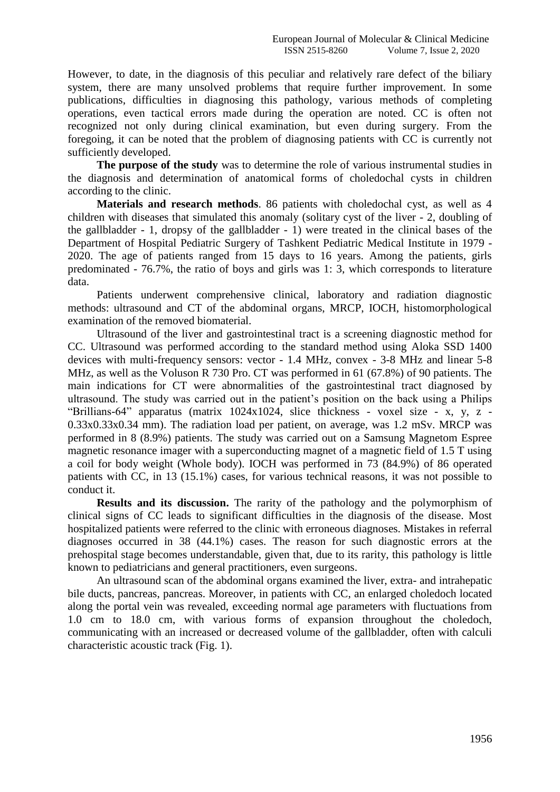However, to date, in the diagnosis of this peculiar and relatively rare defect of the biliary system, there are many unsolved problems that require further improvement. In some publications, difficulties in diagnosing this pathology, various methods of completing operations, even tactical errors made during the operation are noted. CC is often not recognized not only during clinical examination, but even during surgery. From the foregoing, it can be noted that the problem of diagnosing patients with CC is currently not sufficiently developed.

**The purpose of the study** was to determine the role of various instrumental studies in the diagnosis and determination of anatomical forms of choledochal cysts in children according to the clinic.

**Materials and research methods**. 86 patients with choledochal cyst, as well as 4 children with diseases that simulated this anomaly (solitary cyst of the liver - 2, doubling of the gallbladder - 1, dropsy of the gallbladder - 1) were treated in the clinical bases of the Department of Hospital Pediatric Surgery of Tashkent Pediatric Medical Institute in 1979 - 2020. The age of patients ranged from 15 days to 16 years. Among the patients, girls predominated - 76.7%, the ratio of boys and girls was 1: 3, which corresponds to literature data.

Patients underwent comprehensive clinical, laboratory and radiation diagnostic methods: ultrasound and CT of the abdominal organs, MRCP, IOCH, histomorphological examination of the removed biomaterial.

Ultrasound of the liver and gastrointestinal tract is a screening diagnostic method for CC. Ultrasound was performed according to the standard method using Aloka SSD 1400 devices with multi-frequency sensors: vector - 1.4 MHz, convex - 3-8 MHz and linear 5-8 MHz, as well as the Voluson R 730 Pro. CT was performed in 61 (67.8%) of 90 patients. The main indications for CT were abnormalities of the gastrointestinal tract diagnosed by ultrasound. The study was carried out in the patient's position on the back using a Philips "Brillians-64" apparatus (matrix 1024x1024, slice thickness - voxel size - x, y, z - 0.33x0.33x0.34 mm). The radiation load per patient, on average, was 1.2 mSv. MRCP was performed in 8 (8.9%) patients. The study was carried out on a Samsung Magnetom Espree magnetic resonance imager with a superconducting magnet of a magnetic field of 1.5 T using a coil for body weight (Whole body). IOCH was performed in 73 (84.9%) of 86 operated patients with CC, in 13 (15.1%) cases, for various technical reasons, it was not possible to conduct it.

**Results and its discussion.** The rarity of the pathology and the polymorphism of clinical signs of CC leads to significant difficulties in the diagnosis of the disease. Most hospitalized patients were referred to the clinic with erroneous diagnoses. Mistakes in referral diagnoses occurred in 38 (44.1%) cases. The reason for such diagnostic errors at the prehospital stage becomes understandable, given that, due to its rarity, this pathology is little known to pediatricians and general practitioners, even surgeons.

An ultrasound scan of the abdominal organs examined the liver, extra- and intrahepatic bile ducts, pancreas, pancreas. Moreover, in patients with CC, an enlarged choledoch located along the portal vein was revealed, exceeding normal age parameters with fluctuations from 1.0 cm to 18.0 cm, with various forms of expansion throughout the choledoch, communicating with an increased or decreased volume of the gallbladder, often with calculi characteristic acoustic track (Fig. 1).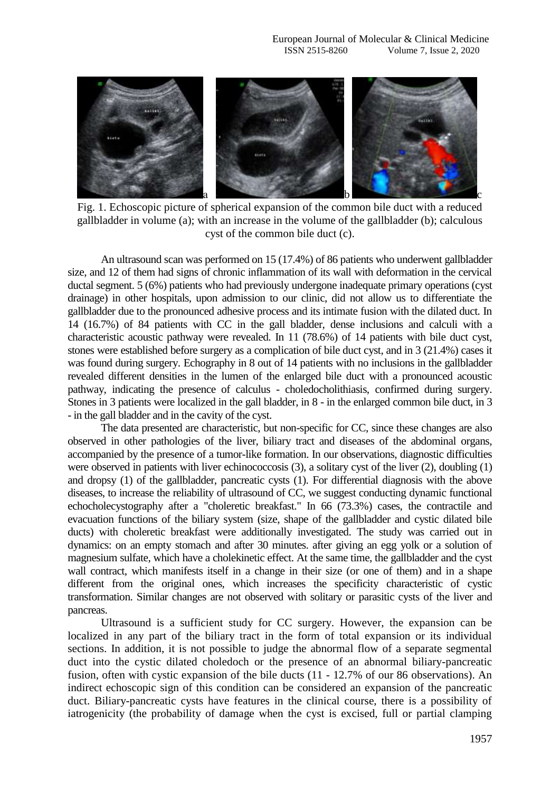

Fig. 1. Echoscopic picture of spherical expansion of the common bile duct with a reduced gallbladder in volume (a); with an increase in the volume of the gallbladder (b); calculous cyst of the common bile duct (c).

An ultrasound scan was performed on 15 (17.4%) of 86 patients who underwent gallbladder size, and 12 of them had signs of chronic inflammation of its wall with deformation in the cervical ductal segment. 5 (6%) patients who had previously undergone inadequate primary operations (cyst drainage) in other hospitals, upon admission to our clinic, did not allow us to differentiate the gallbladder due to the pronounced adhesive process and its intimate fusion with the dilated duct. In 14 (16.7%) of 84 patients with CC in the gall bladder, dense inclusions and calculi with a characteristic acoustic pathway were revealed. In 11 (78.6%) of 14 patients with bile duct cyst, stones were established before surgery as a complication of bile duct cyst, and in 3 (21.4%) cases it was found during surgery. Echography in 8 out of 14 patients with no inclusions in the gallbladder revealed different densities in the lumen of the enlarged bile duct with a pronounced acoustic pathway, indicating the presence of calculus - choledocholithiasis, confirmed during surgery. Stones in 3 patients were localized in the gall bladder, in 8 - in the enlarged common bile duct, in 3 - in the gall bladder and in the cavity of the cyst.

The data presented are characteristic, but non-specific for CC, since these changes are also observed in other pathologies of the liver, biliary tract and diseases of the abdominal organs, accompanied by the presence of a tumor-like formation. In our observations, diagnostic difficulties were observed in patients with liver echinococcosis (3), a solitary cyst of the liver (2), doubling (1) and dropsy (1) of the gallbladder, pancreatic cysts (1). For differential diagnosis with the above diseases, to increase the reliability of ultrasound of CC, we suggest conducting dynamic functional echocholecystography after a "choleretic breakfast." In 66 (73.3%) cases, the contractile and evacuation functions of the biliary system (size, shape of the gallbladder and cystic dilated bile ducts) with choleretic breakfast were additionally investigated. The study was carried out in dynamics: on an empty stomach and after 30 minutes. after giving an egg yolk or a solution of magnesium sulfate, which have a cholekinetic effect. At the same time, the gallbladder and the cyst wall contract, which manifests itself in a change in their size (or one of them) and in a shape different from the original ones, which increases the specificity characteristic of cystic transformation. Similar changes are not observed with solitary or parasitic cysts of the liver and pancreas.

Ultrasound is a sufficient study for CC surgery. However, the expansion can be localized in any part of the biliary tract in the form of total expansion or its individual sections. In addition, it is not possible to judge the abnormal flow of a separate segmental duct into the cystic dilated choledoch or the presence of an abnormal biliary-pancreatic fusion, often with cystic expansion of the bile ducts (11 - 12.7% of our 86 observations). An indirect echoscopic sign of this condition can be considered an expansion of the pancreatic duct. Biliary-pancreatic cysts have features in the clinical course, there is a possibility of iatrogenicity (the probability of damage when the cyst is excised, full or partial clamping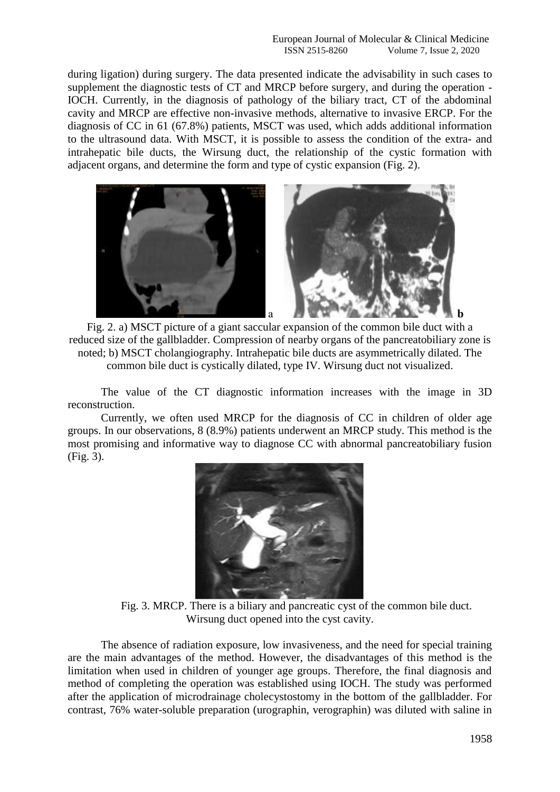during ligation) during surgery. The data presented indicate the advisability in such cases to supplement the diagnostic tests of CT and MRCP before surgery, and during the operation - IOCH. Currently, in the diagnosis of pathology of the biliary tract, CT of the abdominal cavity and MRCP are effective non-invasive methods, alternative to invasive ERCP. For the diagnosis of CC in 61 (67.8%) patients, MSCT was used, which adds additional information to the ultrasound data. With MSCT, it is possible to assess the condition of the extra- and intrahepatic bile ducts, the Wirsung duct, the relationship of the cystic formation with adjacent organs, and determine the form and type of cystic expansion (Fig. 2).



Fig. 2. a) MSCT picture of a giant saccular expansion of the common bile duct with a reduced size of the gallbladder. Compression of nearby organs of the pancreatobiliary zone is noted; b) MSCT cholangiography. Intrahepatic bile ducts are asymmetrically dilated. The common bile duct is cystically dilated, type IV. Wirsung duct not visualized.

The value of the CT diagnostic information increases with the image in 3D reconstruction.

Currently, we often used MRCP for the diagnosis of CC in children of older age groups. In our observations, 8 (8.9%) patients underwent an MRCP study. This method is the most promising and informative way to diagnose CC with abnormal pancreatobiliary fusion (Fig. 3).



Fig. 3. MRCP. There is a biliary and pancreatic cyst of the common bile duct. Wirsung duct opened into the cyst cavity.

The absence of radiation exposure, low invasiveness, and the need for special training are the main advantages of the method. However, the disadvantages of this method is the limitation when used in children of younger age groups. Therefore, the final diagnosis and method of completing the operation was established using IOCH. The study was performed after the application of microdrainage cholecystostomy in the bottom of the gallbladder. For contrast, 76% water-soluble preparation (urographin, verographin) was diluted with saline in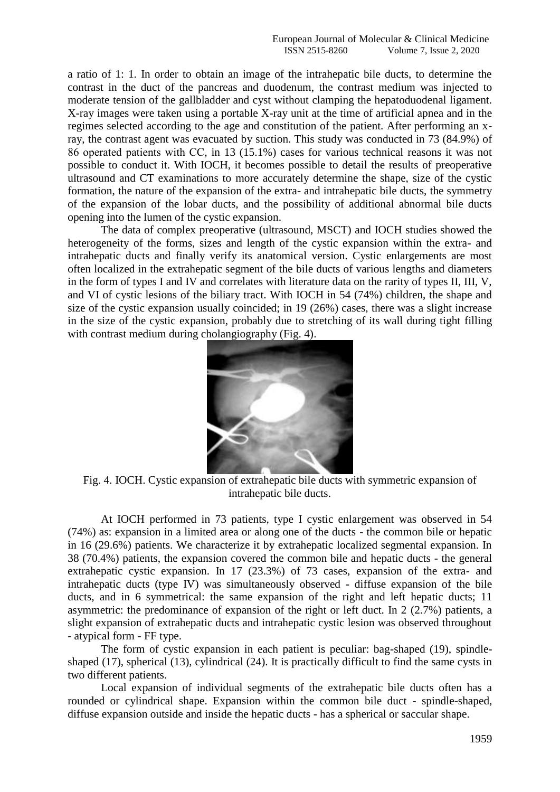a ratio of 1: 1. In order to obtain an image of the intrahepatic bile ducts, to determine the contrast in the duct of the pancreas and duodenum, the contrast medium was injected to moderate tension of the gallbladder and cyst without clamping the hepatoduodenal ligament. X-ray images were taken using a portable X-ray unit at the time of artificial apnea and in the regimes selected according to the age and constitution of the patient. After performing an xray, the contrast agent was evacuated by suction. This study was conducted in 73 (84.9%) of 86 operated patients with CС, in 13 (15.1%) cases for various technical reasons it was not possible to conduct it. With IOCH, it becomes possible to detail the results of preoperative ultrasound and CT examinations to more accurately determine the shape, size of the cystic formation, the nature of the expansion of the extra- and intrahepatic bile ducts, the symmetry of the expansion of the lobar ducts, and the possibility of additional abnormal bile ducts opening into the lumen of the cystic expansion.

The data of complex preoperative (ultrasound, MSCT) and IOCH studies showed the heterogeneity of the forms, sizes and length of the cystic expansion within the extra- and intrahepatic ducts and finally verify its anatomical version. Cystic enlargements are most often localized in the extrahepatic segment of the bile ducts of various lengths and diameters in the form of types I and IV and correlates with literature data on the rarity of types II, III, V, and VI of cystic lesions of the biliary tract. With IOCH in 54 (74%) children, the shape and size of the cystic expansion usually coincided; in 19 (26%) cases, there was a slight increase in the size of the cystic expansion, probably due to stretching of its wall during tight filling with contrast medium during cholangiography (Fig. 4).



Fig. 4. IOCH. Cystic expansion of extrahepatic bile ducts with symmetric expansion of intrahepatic bile ducts.

At IOCH performed in 73 patients, type I cystic enlargement was observed in 54 (74%) as: expansion in a limited area or along one of the ducts - the common bile or hepatic in 16 (29.6%) patients. We characterize it by extrahepatic localized segmental expansion. In 38 (70.4%) patients, the expansion covered the common bile and hepatic ducts - the general extrahepatic cystic expansion. In 17 (23.3%) of 73 cases, expansion of the extra- and intrahepatic ducts (type IV) was simultaneously observed - diffuse expansion of the bile ducts, and in 6 symmetrical: the same expansion of the right and left hepatic ducts; 11 asymmetric: the predominance of expansion of the right or left duct. In 2 (2.7%) patients, a slight expansion of extrahepatic ducts and intrahepatic cystic lesion was observed throughout - atypical form - FF type.

The form of cystic expansion in each patient is peculiar: bag-shaped (19), spindleshaped (17), spherical (13), cylindrical (24). It is practically difficult to find the same cysts in two different patients.

Local expansion of individual segments of the extrahepatic bile ducts often has a rounded or cylindrical shape. Expansion within the common bile duct - spindle-shaped, diffuse expansion outside and inside the hepatic ducts - has a spherical or saccular shape.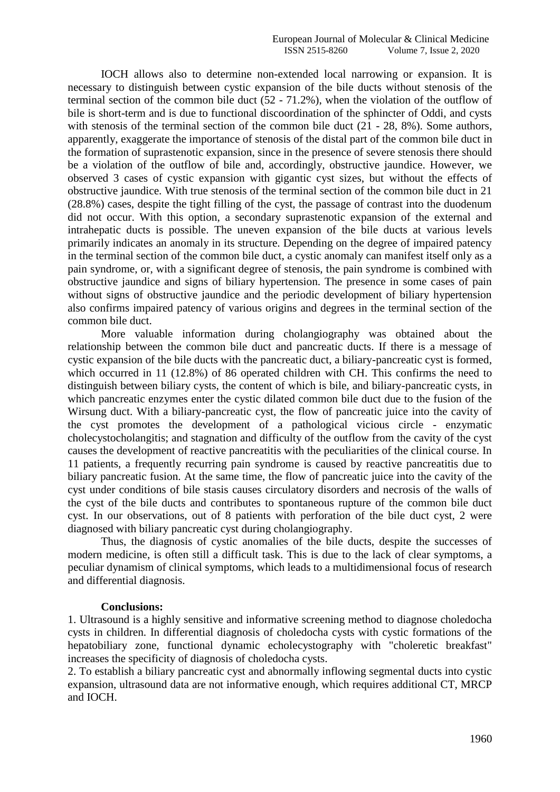IOCH allows also to determine non-extended local narrowing or expansion. It is necessary to distinguish between cystic expansion of the bile ducts without stenosis of the terminal section of the common bile duct  $(52 - 71.2\%)$ , when the violation of the outflow of bile is short-term and is due to functional discoordination of the sphincter of Oddi, and cysts with stenosis of the terminal section of the common bile duct  $(21 - 28, 8\%)$ . Some authors, apparently, exaggerate the importance of stenosis of the distal part of the common bile duct in the formation of suprastenotic expansion, since in the presence of severe stenosis there should be a violation of the outflow of bile and, accordingly, obstructive jaundice. However, we observed 3 cases of cystic expansion with gigantic cyst sizes, but without the effects of obstructive jaundice. With true stenosis of the terminal section of the common bile duct in 21 (28.8%) cases, despite the tight filling of the cyst, the passage of contrast into the duodenum did not occur. With this option, a secondary suprastenotic expansion of the external and intrahepatic ducts is possible. The uneven expansion of the bile ducts at various levels primarily indicates an anomaly in its structure. Depending on the degree of impaired patency in the terminal section of the common bile duct, a cystic anomaly can manifest itself only as a pain syndrome, or, with a significant degree of stenosis, the pain syndrome is combined with obstructive jaundice and signs of biliary hypertension. The presence in some cases of pain without signs of obstructive jaundice and the periodic development of biliary hypertension also confirms impaired patency of various origins and degrees in the terminal section of the common bile duct.

More valuable information during cholangiography was obtained about the relationship between the common bile duct and pancreatic ducts. If there is a message of cystic expansion of the bile ducts with the pancreatic duct, a biliary-pancreatic cyst is formed, which occurred in 11 (12.8%) of 86 operated children with CH. This confirms the need to distinguish between biliary cysts, the content of which is bile, and biliary-pancreatic cysts, in which pancreatic enzymes enter the cystic dilated common bile duct due to the fusion of the Wirsung duct. With a biliary-pancreatic cyst, the flow of pancreatic juice into the cavity of the cyst promotes the development of a pathological vicious circle - enzymatic cholecystocholangitis; and stagnation and difficulty of the outflow from the cavity of the cyst causes the development of reactive pancreatitis with the peculiarities of the clinical course. In 11 patients, a frequently recurring pain syndrome is caused by reactive pancreatitis due to biliary pancreatic fusion. At the same time, the flow of pancreatic juice into the cavity of the cyst under conditions of bile stasis causes circulatory disorders and necrosis of the walls of the cyst of the bile ducts and contributes to spontaneous rupture of the common bile duct cyst. In our observations, out of 8 patients with perforation of the bile duct cyst, 2 were diagnosed with biliary pancreatic cyst during cholangiography.

Thus, the diagnosis of cystic anomalies of the bile ducts, despite the successes of modern medicine, is often still a difficult task. This is due to the lack of clear symptoms, a peculiar dynamism of clinical symptoms, which leads to a multidimensional focus of research and differential diagnosis.

## **Conclusions:**

1. Ultrasound is a highly sensitive and informative screening method to diagnose choledocha cysts in children. In differential diagnosis of choledocha cysts with cystic formations of the hepatobiliary zone, functional dynamic echolecystography with "choleretic breakfast" increases the specificity of diagnosis of choledocha cysts.

2. To establish a biliary pancreatic cyst and abnormally inflowing segmental ducts into cystic expansion, ultrasound data are not informative enough, which requires additional CT, MRCP and IOCH.